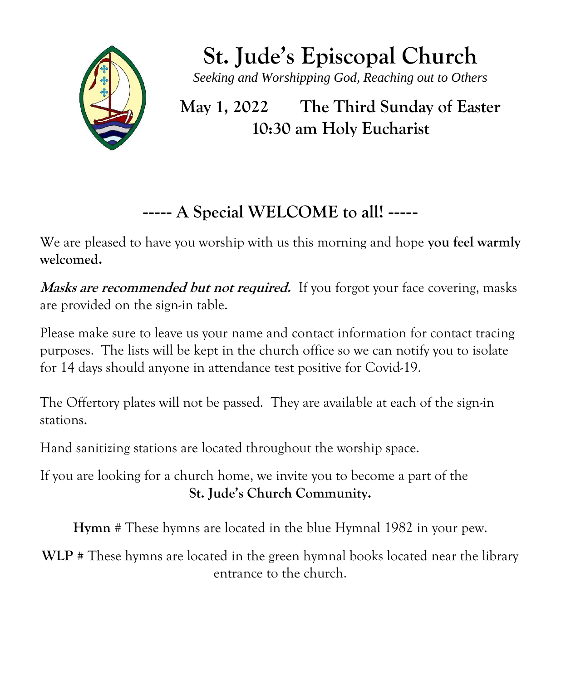

**St. Jude's Episcopal Church** *Seeking and Worshipping God, Reaching out to Others*

**May 1, 2022 The Third Sunday of Easter 10:30 am Holy Eucharist**

# **----- A Special WELCOME to all! -----**

We are pleased to have you worship with us this morning and hope **you feel warmly welcomed.** 

**Masks are recommended but not required.** If you forgot your face covering, masks are provided on the sign-in table.

Please make sure to leave us your name and contact information for contact tracing purposes. The lists will be kept in the church office so we can notify you to isolate for 14 days should anyone in attendance test positive for Covid-19.

The Offertory plates will not be passed. They are available at each of the sign-in stations.

Hand sanitizing stations are located throughout the worship space.

If you are looking for a church home, we invite you to become a part of the **St. Jude's Church Community.**

**Hymn #** These hymns are located in the blue Hymnal 1982 in your pew.

**WLP #** These hymns are located in the green hymnal books located near the library entrance to the church.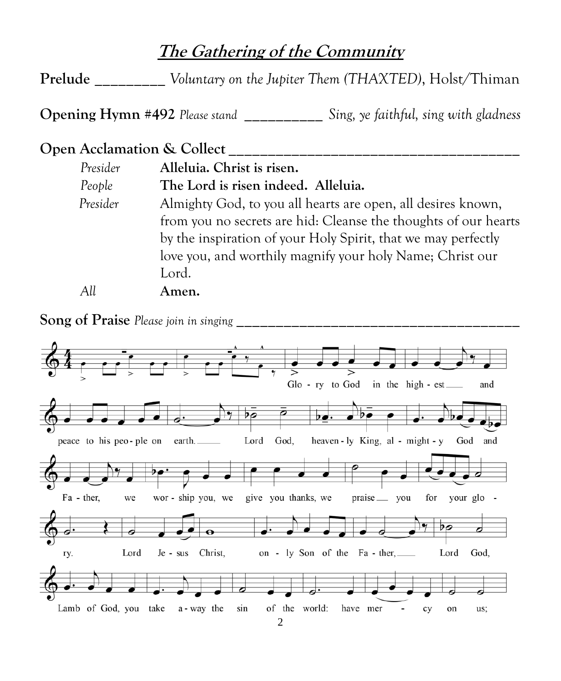# **The Gathering of the Community**

**Prelude \_\_\_\_\_\_\_\_\_** *Voluntary on the Jupiter Them (THAXTED)*, Holst/Thiman

**Opening Hymn #492** *Please stand* **\_\_\_\_\_\_\_\_\_\_** *Sing, ye faithful, sing with gladness*

### **Open Acclamation & Collect**

| Presider | Alleluia. Christ is risen.                                      |
|----------|-----------------------------------------------------------------|
| People   | The Lord is risen indeed. Alleluia.                             |
| Presider | Almighty God, to you all hearts are open, all desires known,    |
|          | from you no secrets are hid: Cleanse the thoughts of our hearts |
|          | by the inspiration of your Holy Spirit, that we may perfectly   |
|          | love you, and worthily magnify your holy Name; Christ our       |
|          | Lord.                                                           |
| All      | Amen.                                                           |

**Song of Praise** *Please join in singing* **\_\_\_\_\_\_\_\_\_\_\_\_\_\_\_\_\_\_\_\_\_\_\_\_\_\_\_\_\_\_\_\_\_\_\_\_**

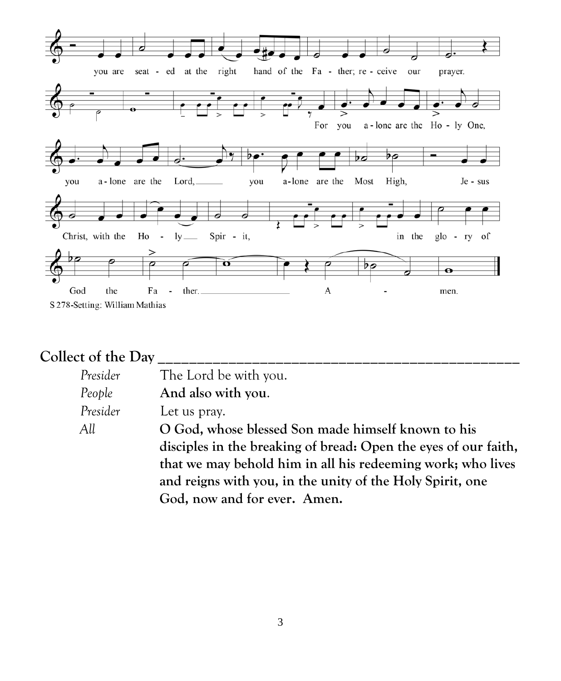

#### **Collect of the Day \_\_\_\_\_\_\_\_\_\_\_\_\_\_\_\_\_\_\_\_\_\_\_\_\_\_\_\_\_\_\_\_\_\_\_\_\_\_\_\_\_\_\_\_\_\_**

| Presider | The Lord be with you.                                           |
|----------|-----------------------------------------------------------------|
| People   | And also with you.                                              |
| Presider | Let us pray.                                                    |
| All      | O God, whose blessed Son made himself known to his              |
|          | disciples in the breaking of bread: Open the eyes of our faith, |
|          | that we may behold him in all his redeeming work; who lives     |
|          | and reigns with you, in the unity of the Holy Spirit, one       |
|          | God, now and for ever. Amen.                                    |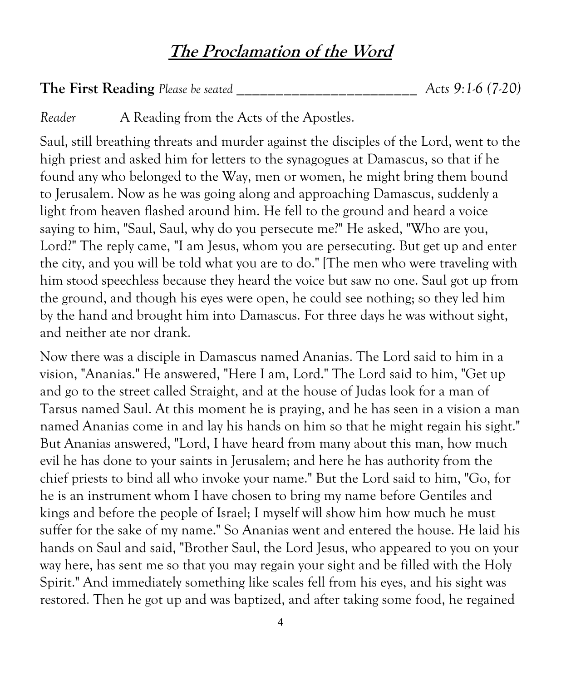# **The Proclamation of the Word**

| The First Reading Please be seated | Acts 9:1-6 (7-20) |
|------------------------------------|-------------------|
|------------------------------------|-------------------|

*Reader* A Reading from the Acts of the Apostles.

Saul, still breathing threats and murder against the disciples of the Lord, went to the high priest and asked him for letters to the synagogues at Damascus, so that if he found any who belonged to the Way, men or women, he might bring them bound to Jerusalem. Now as he was going along and approaching Damascus, suddenly a light from heaven flashed around him. He fell to the ground and heard a voice saying to him, "Saul, Saul, why do you persecute me?" He asked, "Who are you, Lord?" The reply came, "I am Jesus, whom you are persecuting. But get up and enter the city, and you will be told what you are to do." [The men who were traveling with him stood speechless because they heard the voice but saw no one. Saul got up from the ground, and though his eyes were open, he could see nothing; so they led him by the hand and brought him into Damascus. For three days he was without sight, and neither ate nor drank.

Now there was a disciple in Damascus named Ananias. The Lord said to him in a vision, "Ananias." He answered, "Here I am, Lord." The Lord said to him, "Get up and go to the street called Straight, and at the house of Judas look for a man of Tarsus named Saul. At this moment he is praying, and he has seen in a vision a man named Ananias come in and lay his hands on him so that he might regain his sight." But Ananias answered, "Lord, I have heard from many about this man, how much evil he has done to your saints in Jerusalem; and here he has authority from the chief priests to bind all who invoke your name." But the Lord said to him, "Go, for he is an instrument whom I have chosen to bring my name before Gentiles and kings and before the people of Israel; I myself will show him how much he must suffer for the sake of my name." So Ananias went and entered the house. He laid his hands on Saul and said, "Brother Saul, the Lord Jesus, who appeared to you on your way here, has sent me so that you may regain your sight and be filled with the Holy Spirit." And immediately something like scales fell from his eyes, and his sight was restored. Then he got up and was baptized, and after taking some food, he regained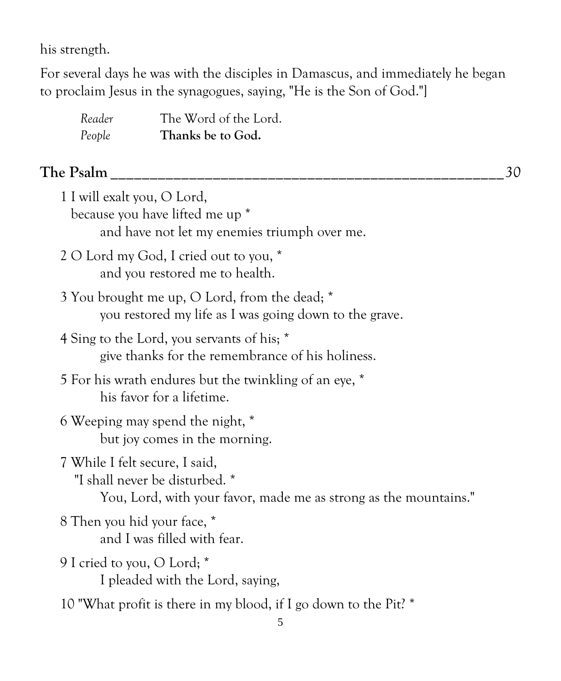his strength.

For several days he was with the disciples in Damascus, and immediately he began to proclaim Jesus in the synagogues, saying, "He is the Son of God."]

| Reader | The Word of the Lord. |
|--------|-----------------------|
| People | Thanks be to God.     |

### **The Psalm \_\_\_\_\_\_\_\_\_\_\_\_\_\_\_\_\_\_\_\_\_\_\_\_\_\_\_\_\_\_\_\_\_\_\_\_\_\_\_\_\_\_\_\_\_\_\_\_\_\_***30*

1 I will exalt you, O Lord, because you have lifted me up \* and have not let my enemies triumph over me. 2 O Lord my God, I cried out to you, \* and you restored me to health. 3 You brought me up, O Lord, from the dead; \* you restored my life as I was going down to the grave. 4 Sing to the Lord, you servants of his; \* give thanks for the remembrance of his holiness. 5 For his wrath endures but the twinkling of an eye, \* his favor for a lifetime. 6 Weeping may spend the night, \* but joy comes in the morning. 7 While I felt secure, I said, "I shall never be disturbed. \* You, Lord, with your favor, made me as strong as the mountains." 8 Then you hid your face, \* and I was filled with fear. 9 I cried to you, O Lord; \* I pleaded with the Lord, saying, 10 "What profit is there in my blood, if I go down to the Pit? \*

5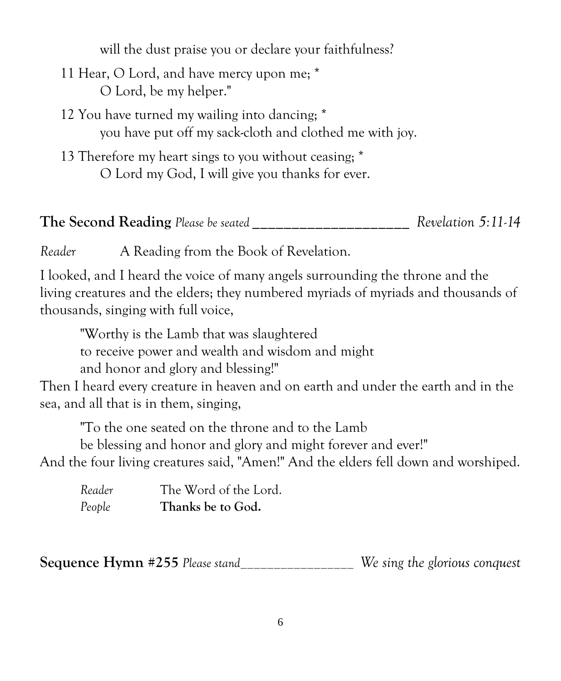will the dust praise you or declare your faithfulness?

- 11 Hear, O Lord, and have mercy upon me; \* O Lord, be my helper."
- 12 You have turned my wailing into dancing; \* you have put off my sack-cloth and clothed me with joy.
- 13 Therefore my heart sings to you without ceasing; \* O Lord my God, I will give you thanks for ever.

| The Second Reading Please be seated | Revelation 5:11-14 |
|-------------------------------------|--------------------|
|-------------------------------------|--------------------|

*Reader* A Reading from the Book of Revelation.

I looked, and I heard the voice of many angels surrounding the throne and the living creatures and the elders; they numbered myriads of myriads and thousands of thousands, singing with full voice,

"Worthy is the Lamb that was slaughtered

to receive power and wealth and wisdom and might

and honor and glory and blessing!"

Then I heard every creature in heaven and on earth and under the earth and in the sea, and all that is in them, singing,

"To the one seated on the throne and to the Lamb

be blessing and honor and glory and might forever and ever!"

And the four living creatures said, "Amen!" And the elders fell down and worshiped.

| Reader | The Word of the Lord. |
|--------|-----------------------|
| People | Thanks be to God.     |

**Sequence Hymn #255** *Please stand\_\_\_\_\_\_\_\_\_\_\_\_\_\_\_\_\_ We sing the glorious conquest*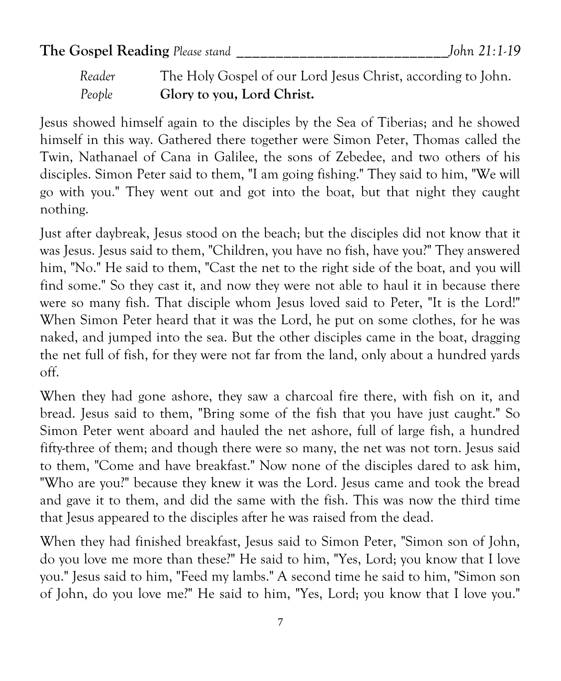*Reader* The Holy Gospel of our Lord Jesus Christ, according to John. *People* **Glory to you, Lord Christ.**

Jesus showed himself again to the disciples by the Sea of Tiberias; and he showed himself in this way. Gathered there together were Simon Peter, Thomas called the Twin, Nathanael of Cana in Galilee, the sons of Zebedee, and two others of his disciples. Simon Peter said to them, "I am going fishing." They said to him, "We will go with you." They went out and got into the boat, but that night they caught nothing.

Just after daybreak, Jesus stood on the beach; but the disciples did not know that it was Jesus. Jesus said to them, "Children, you have no fish, have you?" They answered him, "No." He said to them, "Cast the net to the right side of the boat, and you will find some." So they cast it, and now they were not able to haul it in because there were so many fish. That disciple whom Jesus loved said to Peter, "It is the Lord!" When Simon Peter heard that it was the Lord, he put on some clothes, for he was naked, and jumped into the sea. But the other disciples came in the boat, dragging the net full of fish, for they were not far from the land, only about a hundred yards off.

When they had gone ashore, they saw a charcoal fire there, with fish on it, and bread. Jesus said to them, "Bring some of the fish that you have just caught." So Simon Peter went aboard and hauled the net ashore, full of large fish, a hundred fifty-three of them; and though there were so many, the net was not torn. Jesus said to them, "Come and have breakfast." Now none of the disciples dared to ask him, "Who are you?" because they knew it was the Lord. Jesus came and took the bread and gave it to them, and did the same with the fish. This was now the third time that Jesus appeared to the disciples after he was raised from the dead.

When they had finished breakfast, Jesus said to Simon Peter, "Simon son of John, do you love me more than these?" He said to him, "Yes, Lord; you know that I love you." Jesus said to him, "Feed my lambs." A second time he said to him, "Simon son of John, do you love me?" He said to him, "Yes, Lord; you know that I love you."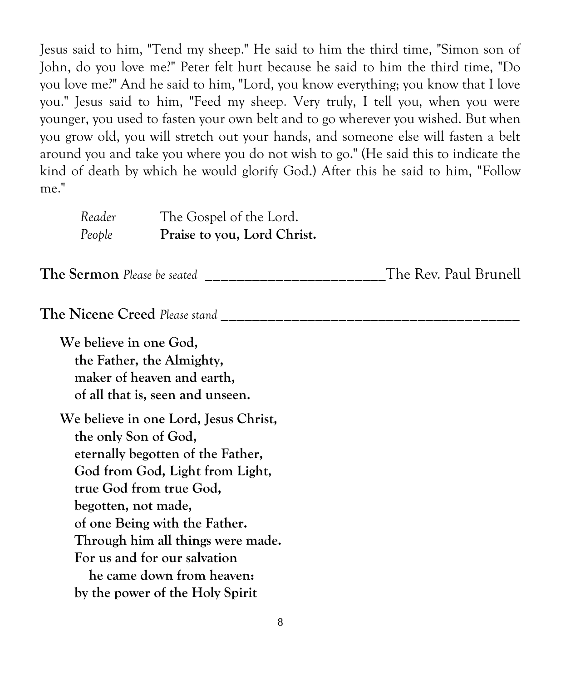Jesus said to him, "Tend my sheep." He said to him the third time, "Simon son of John, do you love me?" Peter felt hurt because he said to him the third time, "Do you love me?" And he said to him, "Lord, you know everything; you know that I love you." Jesus said to him, "Feed my sheep. Very truly, I tell you, when you were younger, you used to fasten your own belt and to go wherever you wished. But when you grow old, you will stretch out your hands, and someone else will fasten a belt around you and take you where you do not wish to go." (He said this to indicate the kind of death by which he would glorify God.) After this he said to him, "Follow me."

| Reader | The Gospel of the Lord.     |
|--------|-----------------------------|
| People | Praise to you, Lord Christ. |

**The Sermon** *Please be seated* **\_\_\_\_\_\_\_\_\_\_\_\_\_\_\_\_\_\_\_\_\_\_\_**The Rev. Paul Brunell

**The Nicene Creed** *Please stand* **\_\_\_\_\_\_\_\_\_\_\_\_\_\_\_\_\_\_\_\_\_\_\_\_\_\_\_\_\_\_\_\_\_\_\_\_\_\_**

**We believe in one God, the Father, the Almighty, maker of heaven and earth, of all that is, seen and unseen.**

**We believe in one Lord, Jesus Christ, the only Son of God, eternally begotten of the Father, God from God, Light from Light, true God from true God, begotten, not made, of one Being with the Father. Through him all things were made. For us and for our salvation he came down from heaven: by the power of the Holy Spirit**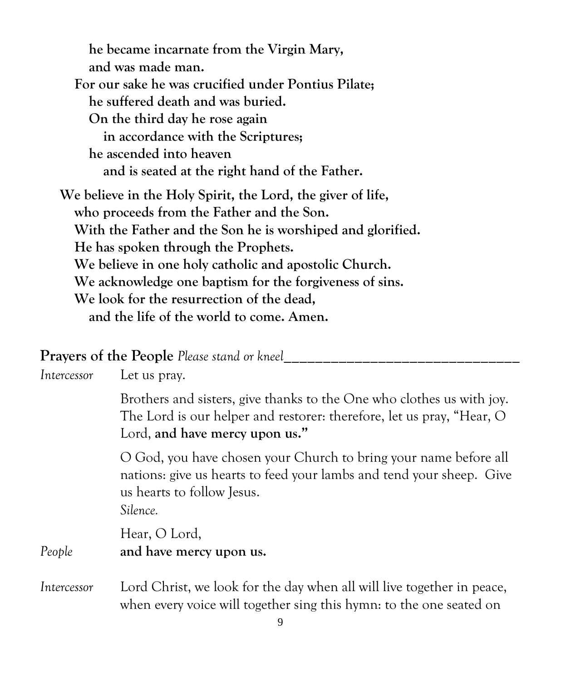**he became incarnate from the Virgin Mary, and was made man. For our sake he was crucified under Pontius Pilate; he suffered death and was buried. On the third day he rose again in accordance with the Scriptures; he ascended into heaven and is seated at the right hand of the Father. We believe in the Holy Spirit, the Lord, the giver of life, who proceeds from the Father and the Son. With the Father and the Son he is worshiped and glorified. He has spoken through the Prophets. We believe in one holy catholic and apostolic Church. We acknowledge one baptism for the forgiveness of sins. We look for the resurrection of the dead, and the life of the world to come. Amen.**

#### **Prayers of the People** *Please stand or kneel***\_\_\_\_\_\_\_\_\_\_\_\_\_\_\_\_\_\_\_\_\_\_\_\_\_\_\_\_\_\_**

| Intercessor | Let us pray.                                                                                                                                                                       |
|-------------|------------------------------------------------------------------------------------------------------------------------------------------------------------------------------------|
|             | Brothers and sisters, give thanks to the One who clothes us with joy.<br>The Lord is our helper and restorer: therefore, let us pray, "Hear, O<br>Lord, and have mercy upon us."   |
|             | O God, you have chosen your Church to bring your name before all<br>nations: give us hearts to feed your lambs and tend your sheep. Give<br>us hearts to follow Jesus.<br>Silence. |
| People      | Hear, O Lord,<br>and have mercy upon us.                                                                                                                                           |
| Intercessor | Lord Christ, we look for the day when all will live together in peace,<br>when every voice will together sing this hymn: to the one seated on<br>9                                 |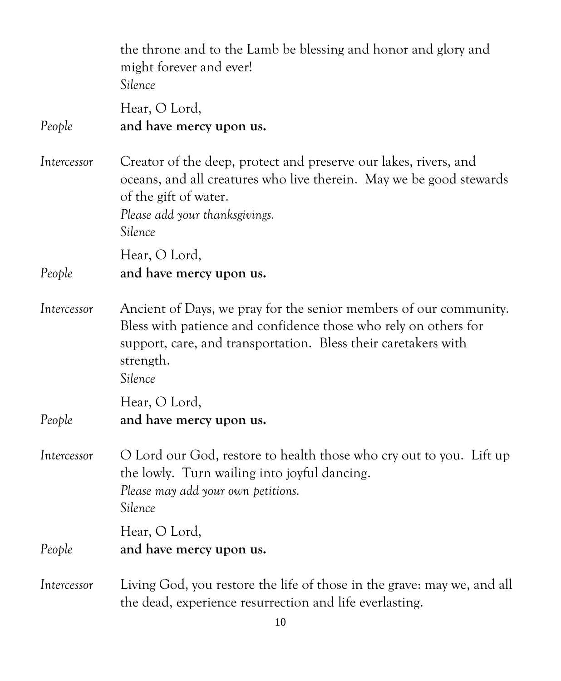|             | the throne and to the Lamb be blessing and honor and glory and<br>might forever and ever!<br>Silence                                                                                                                           |
|-------------|--------------------------------------------------------------------------------------------------------------------------------------------------------------------------------------------------------------------------------|
| People      | Hear, O Lord,<br>and have mercy upon us.                                                                                                                                                                                       |
| Intercessor | Creator of the deep, protect and preserve our lakes, rivers, and<br>oceans, and all creatures who live therein. May we be good stewards<br>of the gift of water.<br>Please add your thanksgivings.<br>Silence                  |
| People      | Hear, O Lord,<br>and have mercy upon us.                                                                                                                                                                                       |
| Intercessor | Ancient of Days, we pray for the senior members of our community.<br>Bless with patience and confidence those who rely on others for<br>support, care, and transportation. Bless their caretakers with<br>strength.<br>Silence |
| People      | Hear, O Lord,<br>and have mercy upon us.                                                                                                                                                                                       |
| Intercessor | O Lord our God, restore to health those who cry out to you. Lift up<br>the lowly. Turn wailing into joyful dancing.<br>Please may add your own petitions.<br>Silence                                                           |
| People      | Hear, O Lord,<br>and have mercy upon us.                                                                                                                                                                                       |
| Intercessor | Living God, you restore the life of those in the grave: may we, and all<br>the dead, experience resurrection and life everlasting.                                                                                             |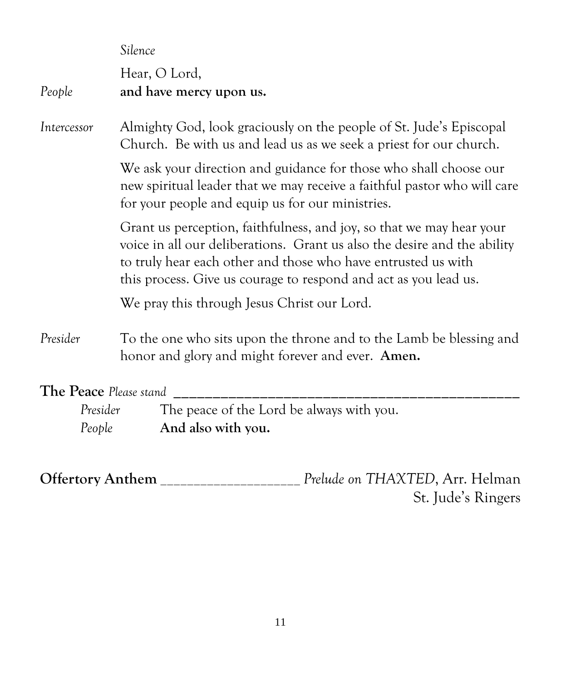|                        | Silence                                                                                                                                                                                                                                                                               |
|------------------------|---------------------------------------------------------------------------------------------------------------------------------------------------------------------------------------------------------------------------------------------------------------------------------------|
|                        | Hear, O Lord,                                                                                                                                                                                                                                                                         |
| People                 | and have mercy upon us.                                                                                                                                                                                                                                                               |
| Intercessor            | Almighty God, look graciously on the people of St. Jude's Episcopal<br>Church. Be with us and lead us as we seek a priest for our church.                                                                                                                                             |
|                        | We ask your direction and guidance for those who shall choose our<br>new spiritual leader that we may receive a faithful pastor who will care<br>for your people and equip us for our ministries.                                                                                     |
|                        | Grant us perception, faithfulness, and joy, so that we may hear your<br>voice in all our deliberations. Grant us also the desire and the ability<br>to truly hear each other and those who have entrusted us with<br>this process. Give us courage to respond and act as you lead us. |
|                        | We pray this through Jesus Christ our Lord.                                                                                                                                                                                                                                           |
| Presider               | To the one who sits upon the throne and to the Lamb be blessing and<br>honor and glory and might forever and ever. Amen.                                                                                                                                                              |
| The Peace Please stand |                                                                                                                                                                                                                                                                                       |
| Presider<br>People     | The peace of the Lord be always with you.<br>And also with you.                                                                                                                                                                                                                       |
|                        |                                                                                                                                                                                                                                                                                       |

**Offertory Anthem** *\_\_\_\_\_\_\_\_\_\_\_\_\_\_\_\_\_\_\_\_\_ Prelude on THAXTED*, Arr. Helman St. Jude's Ringers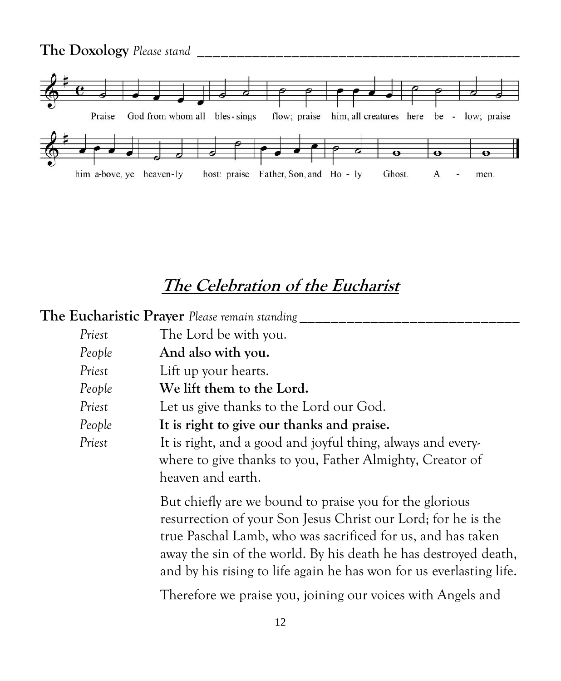

# **The Celebration of the Eucharist**

|        | The Eucharistic Prayer Please remain standing                                                                                                                                                                                                                                                                                     |
|--------|-----------------------------------------------------------------------------------------------------------------------------------------------------------------------------------------------------------------------------------------------------------------------------------------------------------------------------------|
| Priest | The Lord be with you.                                                                                                                                                                                                                                                                                                             |
| People | And also with you.                                                                                                                                                                                                                                                                                                                |
| Priest | Lift up your hearts.                                                                                                                                                                                                                                                                                                              |
| People | We lift them to the Lord.                                                                                                                                                                                                                                                                                                         |
| Priest | Let us give thanks to the Lord our God.                                                                                                                                                                                                                                                                                           |
| People | It is right to give our thanks and praise.                                                                                                                                                                                                                                                                                        |
| Priest | It is right, and a good and joyful thing, always and every-                                                                                                                                                                                                                                                                       |
|        | where to give thanks to you, Father Almighty, Creator of                                                                                                                                                                                                                                                                          |
|        | heaven and earth.                                                                                                                                                                                                                                                                                                                 |
|        | But chiefly are we bound to praise you for the glorious<br>resurrection of your Son Jesus Christ our Lord; for he is the<br>true Paschal Lamb, who was sacrificed for us, and has taken<br>away the sin of the world. By his death he has destroyed death,<br>and by his rising to life again he has won for us everlasting life. |
|        | Therefore we praise you, joining our voices with Angels and                                                                                                                                                                                                                                                                       |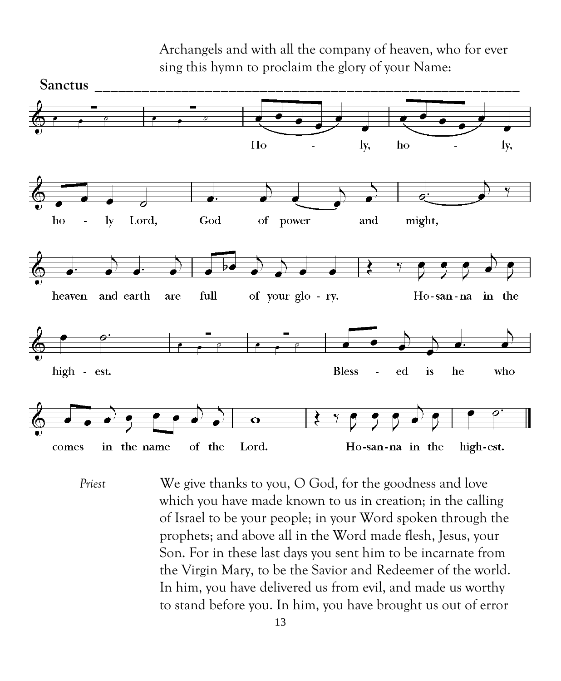Archangels and with all the company of heaven, who for ever sing this hymn to proclaim the glory of your Name:



*Priest* We give thanks to you, O God, for the goodness and love which you have made known to us in creation; in the calling of Israel to be your people; in your Word spoken through the prophets; and above all in the Word made flesh, Jesus, your Son. For in these last days you sent him to be incarnate from the Virgin Mary, to be the Savior and Redeemer of the world. In him, you have delivered us from evil, and made us worthy to stand before you. In him, you have brought us out of error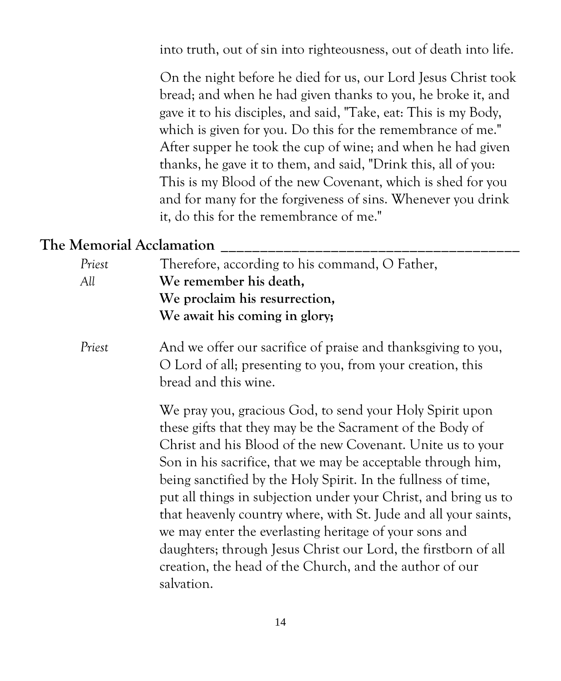into truth, out of sin into righteousness, out of death into life.

On the night before he died for us, our Lord Jesus Christ took bread; and when he had given thanks to you, he broke it, and gave it to his disciples, and said, "Take, eat: This is my Body, which is given for you. Do this for the remembrance of me." After supper he took the cup of wine; and when he had given thanks, he gave it to them, and said, "Drink this, all of you: This is my Blood of the new Covenant, which is shed for you and for many for the forgiveness of sins. Whenever you drink it, do this for the remembrance of me."

### **The Memorial Acclamation \_\_\_\_\_\_\_\_\_\_\_\_\_\_\_\_\_\_\_\_\_\_\_\_\_\_\_\_\_\_\_\_\_\_\_\_\_\_**

| Priest<br>All | Therefore, according to his command, O Father,<br>We remember his death,<br>We proclaim his resurrection,<br>We await his coming in glory;                                                                                                                                                                                                                                                                                                                                                                                                                                                                                                                      |
|---------------|-----------------------------------------------------------------------------------------------------------------------------------------------------------------------------------------------------------------------------------------------------------------------------------------------------------------------------------------------------------------------------------------------------------------------------------------------------------------------------------------------------------------------------------------------------------------------------------------------------------------------------------------------------------------|
| Priest        | And we offer our sacrifice of praise and thanksgiving to you,<br>O Lord of all; presenting to you, from your creation, this<br>bread and this wine.                                                                                                                                                                                                                                                                                                                                                                                                                                                                                                             |
|               | We pray you, gracious God, to send your Holy Spirit upon<br>these gifts that they may be the Sacrament of the Body of<br>Christ and his Blood of the new Covenant. Unite us to your<br>Son in his sacrifice, that we may be acceptable through him,<br>being sanctified by the Holy Spirit. In the fullness of time,<br>put all things in subjection under your Christ, and bring us to<br>that heavenly country where, with St. Jude and all your saints,<br>we may enter the everlasting heritage of your sons and<br>daughters; through Jesus Christ our Lord, the firstborn of all<br>creation, the head of the Church, and the author of our<br>salvation. |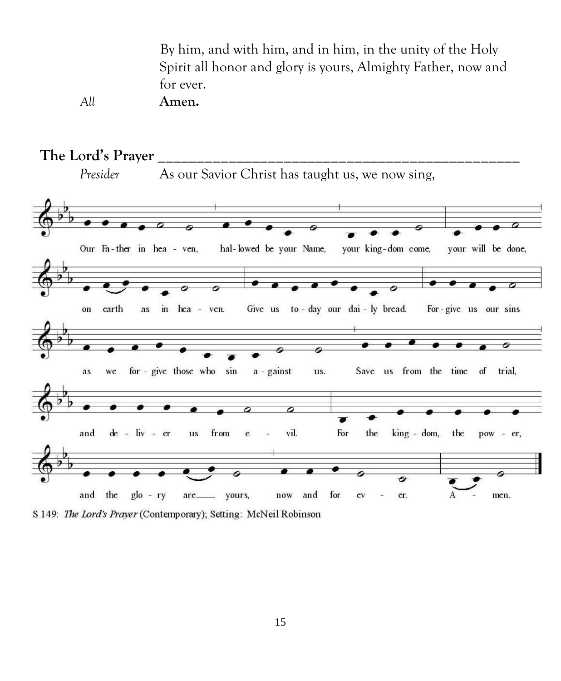By him, and with him, and in him, in the unity of the Holy Spirit all honor and glory is yours, Almighty Father, now and for ever.

*All* **Amen.**



S 149: The Lord's Prayer (Contemporary); Setting: McNeil Robinson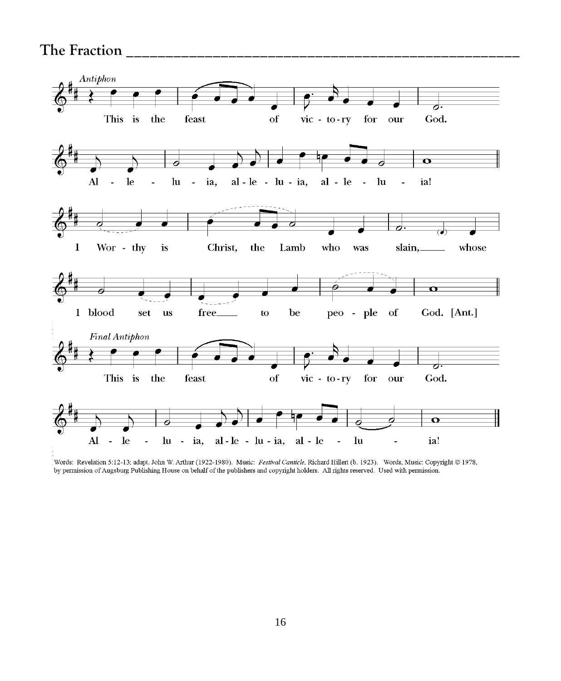#### The Fraction



Words: Revelation 5:12-13; adapt. John W. Arthur (1922-1980). Music: Festival Canticle, Richard Hillert (b. 1923). Words, Music: Copyright @ 1978, by permission of Augsburg Publishing House on behalf of the publishers and copyright holders. All rights reserved. Used with permission.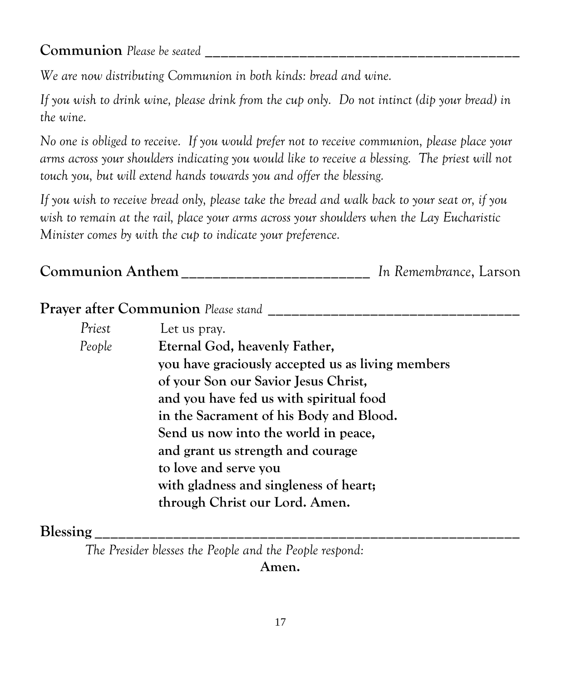### **Communion** *Please be seated* **\_\_\_\_\_\_\_\_\_\_\_\_\_\_\_\_\_\_\_\_\_\_\_\_\_\_\_\_\_\_\_\_\_\_\_\_\_\_\_\_**

*We are now distributing Communion in both kinds: bread and wine.* 

*If you wish to drink wine, please drink from the cup only. Do not intinct (dip your bread) in the wine.*

*No one is obliged to receive. If you would prefer not to receive communion, please place your arms across your shoulders indicating you would like to receive a blessing. The priest will not touch you, but will extend hands towards you and offer the blessing.*

*If you wish to receive bread only, please take the bread and walk back to your seat or, if you wish to remain at the rail, place your arms across your shoulders when the Lay Eucharistic Minister comes by with the cup to indicate your preference.*

| <b>Communion Anthem</b> |  |  |  | In Remembrance, Larson |
|-------------------------|--|--|--|------------------------|
|-------------------------|--|--|--|------------------------|

|        | <b>Prayer after Communion</b> Please stand        |
|--------|---------------------------------------------------|
| Priest | Let us pray.                                      |
| People | Eternal God, heavenly Father,                     |
|        | you have graciously accepted us as living members |
|        | of your Son our Savior Jesus Christ,              |
|        | and you have fed us with spiritual food           |
|        | in the Sacrament of his Body and Blood.           |
|        | Send us now into the world in peace,              |
|        | and grant us strength and courage                 |
|        | to love and serve you                             |
|        | with gladness and singleness of heart;            |
|        | through Christ our Lord. Amen.                    |

### **Blessing \_\_\_\_\_\_\_\_\_\_\_\_\_\_\_\_\_\_\_\_\_\_\_\_\_\_\_\_\_\_\_\_\_\_\_\_\_\_\_\_\_\_\_\_\_\_\_\_\_\_\_\_\_\_**

*The Presider blesses the People and the People respond:* **Amen.**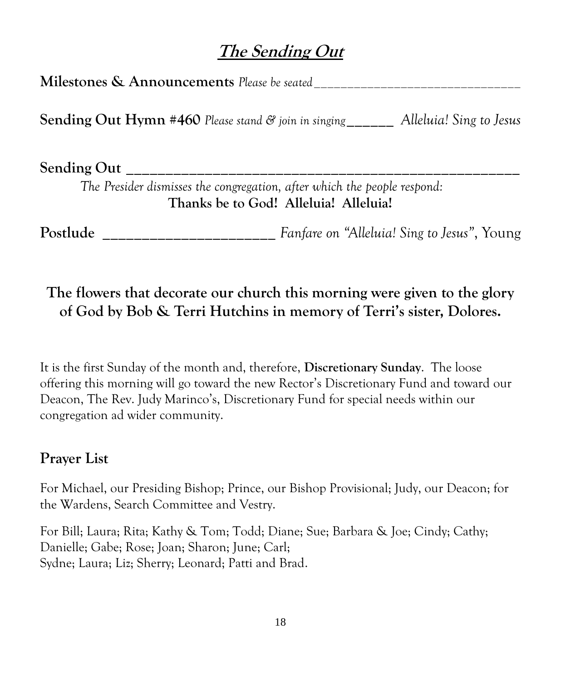# **The Sending Out**

**Milestones & Announcements** *Please be seated\_\_\_\_\_\_\_\_\_\_\_\_\_\_\_\_\_\_\_\_\_\_\_\_\_\_\_\_\_\_\_*

**Sending Out Hymn #460** *Please stand & join in singing***\_\_\_\_\_\_** *Alleluia! Sing to Jesus*

**Sending Out \_\_\_\_\_\_\_\_\_\_\_\_\_\_\_\_\_\_\_\_\_\_\_\_\_\_\_\_\_\_\_\_\_\_\_\_\_\_\_\_\_\_\_\_\_\_\_\_\_\_**

*The Presider dismisses the congregation, after which the people respond:* **Thanks be to God! Alleluia! Alleluia!**

**Postlude \_\_\_\_\_\_\_\_\_\_\_\_\_\_\_\_\_\_\_\_\_\_** *Fanfare on "Alleluia! Sing to Jesus"*, Young

# **The flowers that decorate our church this morning were given to the glory of God by Bob & Terri Hutchins in memory of Terri's sister, Dolores.**

It is the first Sunday of the month and, therefore, **Discretionary Sunday**. The loose offering this morning will go toward the new Rector's Discretionary Fund and toward our Deacon, The Rev. Judy Marinco's, Discretionary Fund for special needs within our congregation ad wider community.

## **Prayer List**

For Michael, our Presiding Bishop; Prince, our Bishop Provisional; Judy, our Deacon; for the Wardens, Search Committee and Vestry.

For Bill; Laura; Rita; Kathy & Tom; Todd; Diane; Sue; Barbara & Joe; Cindy; Cathy; Danielle; Gabe; Rose; Joan; Sharon; June; Carl; Sydne; Laura; Liz; Sherry; Leonard; Patti and Brad.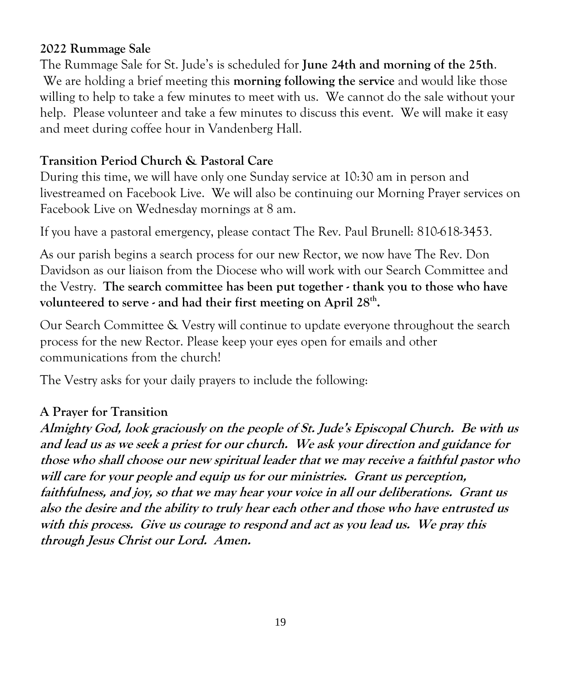#### **2022 Rummage Sale**

The Rummage Sale for St. Jude's is scheduled for **June 24th and morning of the 25th**. We are holding a brief meeting this **morning following the service** and would like those willing to help to take a few minutes to meet with us. We cannot do the sale without your help. Please volunteer and take a few minutes to discuss this event. We will make it easy and meet during coffee hour in Vandenberg Hall.

#### **Transition Period Church & Pastoral Care**

During this time, we will have only one Sunday service at 10:30 am in person and livestreamed on Facebook Live. We will also be continuing our Morning Prayer services on Facebook Live on Wednesday mornings at 8 am.

If you have a pastoral emergency, please contact The Rev. Paul Brunell: 810-618-3453.

As our parish begins a search process for our new Rector, we now have The Rev. Don Davidson as our liaison from the Diocese who will work with our Search Committee and the Vestry. **The search committee has been put together - thank you to those who have volunteered to serve - and had their first meeting on April 28th .**

Our Search Committee & Vestry will continue to update everyone throughout the search process for the new Rector. Please keep your eyes open for emails and other communications from the church!

The Vestry asks for your daily prayers to include the following:

#### **A Prayer for Transition**

**Almighty God, look graciously on the people of St. Jude's Episcopal Church. Be with us and lead us as we seek a priest for our church. We ask your direction and guidance for those who shall choose our new spiritual leader that we may receive a faithful pastor who will care for your people and equip us for our ministries. Grant us perception, faithfulness, and joy, so that we may hear your voice in all our deliberations. Grant us also the desire and the ability to truly hear each other and those who have entrusted us with this process. Give us courage to respond and act as you lead us. We pray this through Jesus Christ our Lord. Amen.**